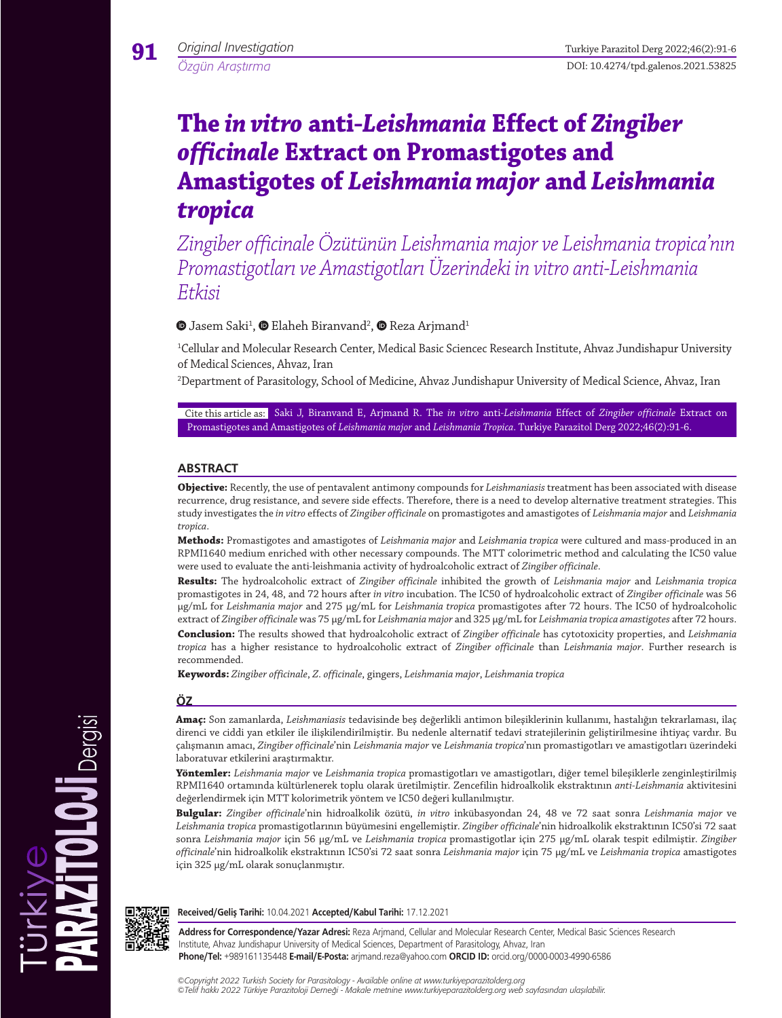*Özgün Araştırma*

**91**

# **The** *in vitro* **anti-***Leishmania* **Effect of** *Zingiber officinale* **Extract on Promastigotes and Amastigotes of** *Leishmania major* **and** *Leishmania tropica*

*Zingiber officinale Özütünün Leishmania major ve Leishmania tropica'nın Promastigotları ve Amastigotları Üzerindeki in vitro anti-Leishmania Etkisi*

'Jasem Saki $^1$ ,  $\mathbf{\mathord{\Phi}}$  Elaheh Biranvand $^2$ ,  $\mathbf{\mathord{\Phi}}$  Reza Arjmand $^1$ 

1 Cellular and Molecular Research Center, Medical Basic Sciencec Research Institute, Ahvaz Jundishapur University of Medical Sciences, Ahvaz, Iran

2 Department of Parasitology, School of Medicine, Ahvaz Jundishapur University of Medical Science, Ahvaz, Iran

Cite this article as: Saki J, Biranvand E, Arjmand R. The *in vitro* anti-*Leishmania* Effect of *Zingiber officinale* Extract on Promastigotes and Amastigotes of *Leishmania major* and *Leishmania Tropica*. Turkiye Parazitol Derg 2022;46(2):91-6.

# **ABSTRACT**

**Objective:** Recently, the use of pentavalent antimony compounds for *Leishmaniasis* treatment has been associated with disease recurrence, drug resistance, and severe side effects. Therefore, there is a need to develop alternative treatment strategies. This study investigates the *in vitro* effects of *Zingiber officinale* on promastigotes and amastigotes of *Leishmania major* and *Leishmania tropica*.

**Methods:** Promastigotes and amastigotes of *Leishmania major* and *Leishmania tropica* were cultured and mass-produced in an RPMI1640 medium enriched with other necessary compounds. The MTT colorimetric method and calculating the IC50 value were used to evaluate the anti*-*leishmania activity of hydroalcoholic extract of *Zingiber officinale*.

**Results:** The hydroalcoholic extract of *Zingiber officinale* inhibited the growth of *Leishmania major* and *Leishmania tropica*  promastigotes in 24, 48, and 72 hours after *in vitro* incubation. The IC50 of hydroalcoholic extract of *Zingiber officinale* was 56 μg/mL for *Leishmania major* and 275 μg/mL for *Leishmania tropica* promastigotes after 72 hours. The IC50 of hydroalcoholic extract of *Zingiber officinale* was 75 μg/mL for *Leishmania major* and 325 μg/mL for *Leishmania tropica amastigotes* after 72 hours. **Conclusion:** The results showed that hydroalcoholic extract of *Zingiber officinale* has cytotoxicity properties, and *Leishmania tropica* has a higher resistance to hydroalcoholic extract of *Zingiber officinale* than *Leishmania major*. Further research is recommended.

**Keywords:** *Zingiber officinale*, *Z. officinale*, gingers, *Leishmania major*, *Leishmania tropica*

# **ÖZ**

**Amaç:** Son zamanlarda, *Leishmaniasis* tedavisinde beş değerlikli antimon bileşiklerinin kullanımı, hastalığın tekrarlaması, ilaç direnci ve ciddi yan etkiler ile ilişkilendirilmiştir. Bu nedenle alternatif tedavi stratejilerinin geliştirilmesine ihtiyaç vardır. Bu çalışmanın amacı, *Zingiber officinale*'nin *Leishmania major* ve *Leishmania tropica*'nın promastigotları ve amastigotları üzerindeki laboratuvar etkilerini araştırmaktır.

**Yöntemler:** *Leishmania major* ve *Leishmania tropica* promastigotları ve amastigotları, diğer temel bileşiklerle zenginleştirilmiş RPMI1640 ortamında kültürlenerek toplu olarak üretilmiştir. Zencefilin hidroalkolik ekstraktının *anti-Leishmania* aktivitesini değerlendirmek için MTT kolorimetrik yöntem ve IC50 değeri kullanılmıştır.

**Bulgular:** *Zingiber officinale*'nin hidroalkolik özütü, *in vitro* inkübasyondan 24, 48 ve 72 saat sonra *Leishmania major* ve *Leishmania tropica* promastigotlarının büyümesini engellemiştir. *Zingiber officinale*'nin hidroalkolik ekstraktının IC50'si 72 saat sonra *Leishmania major* için 56 μg/mL ve *Leishmania tropica* promastigotlar için 275 μg/mL olarak tespit edilmiştir. *Zingiber officinale*'nin hidroalkolik ekstraktının IC50'si 72 saat sonra *Leishmania major* için 75 μg/mL ve *Leishmania tropica* amastigotes için 325 μg/mL olarak sonuçlanmıştır.



**Received/Geliş Tarihi:** 10.04.2021 **Accepted/Kabul Tarihi:** 17.12.2021

**Address for Correspondence/Yazar Adresi:** Reza Arjmand, Cellular and Molecular Research Center, Medical Basic Sciences Research Institute, Ahvaz Jundishapur University of Medical Sciences, Department of Parasitology, Ahvaz, Iran **Phone/Tel:** +989161135448 **E-mail/E-Posta:** arjmand.reza@yahoo.com **ORCID ID:** orcid.org/0000-0003-4990-6586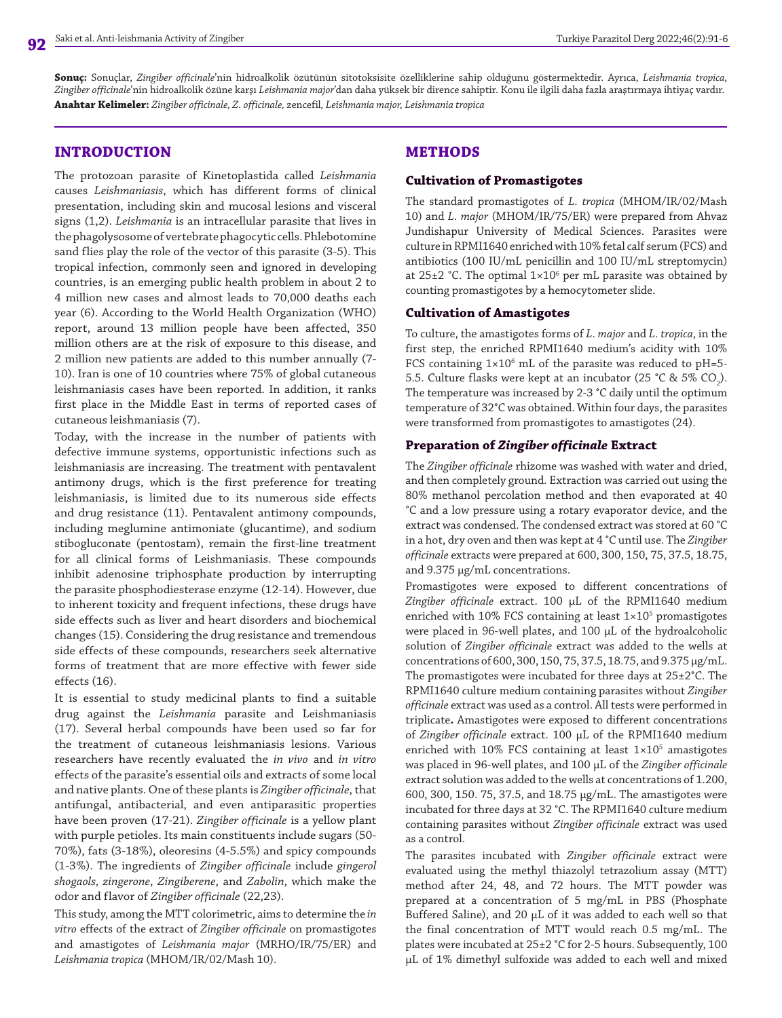**Sonuç:** Sonuçlar, *Zingiber officinale*'nin hidroalkolik özütünün sitotoksisite özelliklerine sahip olduğunu göstermektedir. Ayrıca, *Leishmania tropica*, *Zingiber officinale*'nin hidroalkolik özüne karşı *Leishmania major*'dan daha yüksek bir dirence sahiptir. Konu ile ilgili daha fazla araştırmaya ihtiyaç vardır. **Anahtar Kelimeler:** *Zingiber officinale, Z. officinale,* zencefil*, Leishmania major, Leishmania tropica*

### **INTRODUCTION**

The protozoan parasite of Kinetoplastida called *Leishmania* causes *Leishmaniasis*, which has different forms of clinical presentation, including skin and mucosal lesions and visceral signs (1,2). *Leishmania* is an intracellular parasite that lives in the phagolysosome of vertebrate phagocytic cells. Phlebotomine sand flies play the role of the vector of this parasite (3-5). This tropical infection, commonly seen and ignored in developing countries, is an emerging public health problem in about 2 to 4 million new cases and almost leads to 70,000 deaths each year (6). According to the World Health Organization (WHO) report, around 13 million people have been affected, 350 million others are at the risk of exposure to this disease, and 2 million new patients are added to this number annually (7- 10). Iran is one of 10 countries where 75% of global cutaneous leishmaniasis cases have been reported. In addition, it ranks first place in the Middle East in terms of reported cases of cutaneous leishmaniasis (7).

Today, with the increase in the number of patients with defective immune systems, opportunistic infections such as leishmaniasis are increasing. The treatment with pentavalent antimony drugs, which is the first preference for treating leishmaniasis, is limited due to its numerous side effects and drug resistance (11). Pentavalent antimony compounds, including meglumine antimoniate (glucantime), and sodium stibogluconate (pentostam), remain the first-line treatment for all clinical forms of Leishmaniasis. These compounds inhibit adenosine triphosphate production by interrupting the parasite phosphodiesterase enzyme (12-14). However, due to inherent toxicity and frequent infections, these drugs have side effects such as liver and heart disorders and biochemical changes (15). Considering the drug resistance and tremendous side effects of these compounds, researchers seek alternative forms of treatment that are more effective with fewer side effects (16).

It is essential to study medicinal plants to find a suitable drug against the *Leishmania* parasite and Leishmaniasis (17). Several herbal compounds have been used so far for the treatment of cutaneous leishmaniasis lesions. Various researchers have recently evaluated the *in vivo* and *in vitro* effects of the parasite's essential oils and extracts of some local and native plants. One of these plants is *Zingiber officinale*, that antifungal, antibacterial, and even antiparasitic properties have been proven (17-21). *Zingiber officinale* is a yellow plant with purple petioles. Its main constituents include sugars (50- 70%), fats (3-18%), oleoresins (4-5.5%) and spicy compounds (1-3%). The ingredients of *Zingiber officinale* include *gingerol shogaols, zingerone*, *Zingiberene*, and *Zabolin*, which make the odor and flavor of *Zingiber officinale* (22,23).

This study, among the MTT colorimetric, aims to determine the *in vitro* effects of the extract of *Zingiber officinale* on promastigotes and amastigotes of *Leishmania major* (MRHO/IR/75/ER) and *Leishmania tropica* (MHOM/IR/02/Mash 10).

## **METHODS**

#### **Cultivation of Promastigotes**

The standard promastigotes of *L. tropica* (MHOM/IR/02/Mash 10) and *L. major* (MHOM/IR/75/ER) were prepared from Ahvaz Jundishapur University of Medical Sciences. Parasites were culture in RPMI1640 enriched with 10% fetal calf serum (FCS) and antibiotics (100 IU/mL penicillin and 100 IU/mL streptomycin) at  $25\pm2$  °C. The optimal  $1\times10^6$  per mL parasite was obtained by counting promastigotes by a hemocytometer slide.

#### **Cultivation of Amastigotes**

To culture, the amastigotes forms of *L. major* and *L. tropica*, in the first step, the enriched RPMI1640 medium's acidity with 10% FCS containing  $1\times10^6$  mL of the parasite was reduced to pH=5-5.5. Culture flasks were kept at an incubator (25 °C & 5% CO<sub>2</sub>). The temperature was increased by 2-3 °C daily until the optimum temperature of 32°C was obtained. Within four days, the parasites were transformed from promastigotes to amastigotes (24).

#### **Preparation of** *Zingiber officinale* **Extract**

The *Zingiber officinale* rhizome was washed with water and dried, and then completely ground. Extraction was carried out using the 80% methanol percolation method and then evaporated at 40 °C and a low pressure using a rotary evaporator device, and the extract was condensed. The condensed extract was stored at 60 °C in a hot, dry oven and then was kept at 4 °C until use. The *Zingiber officinale* extracts were prepared at 600, 300, 150, 75, 37.5, 18.75, and 9.375 μg/mL concentrations.

Promastigotes were exposed to different concentrations of *Zingiber officinale* extract. 100 μL of the RPMI1640 medium enriched with 10% FCS containing at least  $1\times10^5$  promastigotes were placed in 96-well plates, and 100 μL of the hydroalcoholic solution of *Zingiber officinale* extract was added to the wells at concentrations of 600, 300, 150, 75, 37.5, 18.75, and 9.375 μg/mL. The promastigotes were incubated for three days at 25±2°C. The RPMI1640 culture medium containing parasites without *Zingiber officinale* extract was used as a control. All tests were performed in triplicate**.** Amastigotes were exposed to different concentrations of *Zingiber officinale* extract. 100 μL of the RPMI1640 medium enriched with  $10\%$  FCS containing at least  $1\times10^5$  amastigotes was placed in 96-well plates, and 100 μL of the *Zingiber officinale* extract solution was added to the wells at concentrations of 1.200, 600, 300, 150. 75, 37.5, and 18.75 μg/mL. The amastigotes were incubated for three days at 32 °C. The RPMI1640 culture medium containing parasites without *Zingiber officinale* extract was used as a control.

The parasites incubated with *Zingiber officinale* extract were evaluated using the methyl thiazolyl tetrazolium assay (MTT) method after 24, 48, and 72 hours. The MTT powder was prepared at a concentration of 5 mg/mL in PBS (Phosphate Buffered Saline), and 20 μL of it was added to each well so that the final concentration of MTT would reach 0.5 mg/mL. The plates were incubated at 25±2 °C for 2-5 hours. Subsequently, 100 μL of 1% dimethyl sulfoxide was added to each well and mixed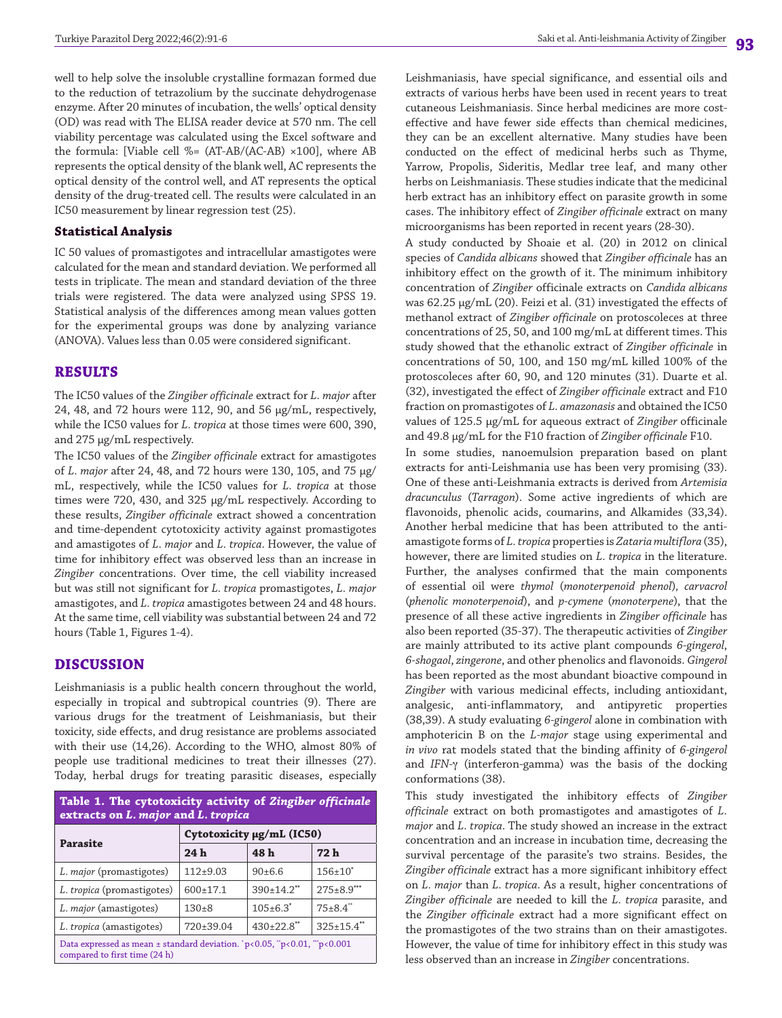well to help solve the insoluble crystalline formazan formed due to the reduction of tetrazolium by the succinate dehydrogenase enzyme. After 20 minutes of incubation, the wells' optical density (OD) was read with The ELISA reader device at 570 nm. The cell viability percentage was calculated using the Excel software and the formula: [Viable cell %= (AT-AB/(AC-AB) ×100], where AB represents the optical density of the blank well, AC represents the optical density of the control well, and AT represents the optical density of the drug-treated cell. The results were calculated in an IC50 measurement by linear regression test (25).

## **Statistical Analysis**

IC 50 values of promastigotes and intracellular amastigotes were calculated for the mean and standard deviation. We performed all tests in triplicate. The mean and standard deviation of the three trials were registered. The data were analyzed using SPSS 19. Statistical analysis of the differences among mean values gotten for the experimental groups was done by analyzing variance (ANOVA). Values less than 0.05 were considered significant.

## **RESULTS**

The IC50 values of the *Zingiber officinale* extract for *L. major* after 24, 48, and 72 hours were 112, 90, and 56 μg/mL, respectively, while the IC50 values for *L. tropica* at those times were 600, 390, and 275 μg/mL respectively.

The IC50 values of the *Zingiber officinale* extract for amastigotes of *L. major* after 24, 48, and 72 hours were 130, 105, and 75 μg/ mL, respectively, while the IC50 values for *L. tropica* at those times were 720, 430, and 325 μg/mL respectively. According to these results, *Zingiber officinale* extract showed a concentration and time-dependent cytotoxicity activity against promastigotes and amastigotes of *L. major* and *L. tropica*. However, the value of time for inhibitory effect was observed less than an increase in *Zingiber* concentrations. Over time, the cell viability increased but was still not significant for *L. tropica* promastigotes, *L. major* amastigotes, and *L. tropica* amastigotes between 24 and 48 hours. At the same time, cell viability was substantial between 24 and 72 hours (Table 1, Figures 1-4).

## **DISCUSSION**

Leishmaniasis is a public health concern throughout the world, especially in tropical and subtropical countries (9). There are various drugs for the treatment of Leishmaniasis, but their toxicity, side effects, and drug resistance are problems associated with their use (14,26). According to the WHO, almost 80% of people use traditional medicines to treat their illnesses (27). Today, herbal drugs for treating parasitic diseases, especially

| Table 1. The cytotoxicity activity of Zingiber officinale<br>extracts on L. major and L. tropica                       |                           |                            |                   |
|------------------------------------------------------------------------------------------------------------------------|---------------------------|----------------------------|-------------------|
| <b>Parasite</b>                                                                                                        | Cytotoxicity µg/mL (IC50) |                            |                   |
|                                                                                                                        | 24h                       | 48 h                       | 72 h              |
| L. major (promastigotes)                                                                                               | $112+9.03$                | $90+6.6$                   | $156+10^*$        |
| L. tropica (promastigotes)                                                                                             | 600±17.1                  | $390+14.2$ **              | $275 \pm 8.9$ *** |
| L. major (amastigotes)                                                                                                 | $130+8$                   | $105 \pm 6.3$ <sup>*</sup> | $75 \pm 8.4$ "    |
| L. tropica (amastigotes)                                                                                               | 720±39.04                 | $430\pm22.8$ **            | $325 \pm 15.4$ ** |
| Data expressed as mean $\pm$ standard deviation. $p<0.05$ , " $p<0.01$ , "" $p<0.001$<br>compared to first time (24 h) |                           |                            |                   |

Leishmaniasis, have special significance, and essential oils and extracts of various herbs have been used in recent years to treat cutaneous Leishmaniasis. Since herbal medicines are more costeffective and have fewer side effects than chemical medicines, they can be an excellent alternative. Many studies have been conducted on the effect of medicinal herbs such as Thyme, Yarrow, Propolis, Sideritis, Medlar tree leaf, and many other herbs on Leishmaniasis. These studies indicate that the medicinal herb extract has an inhibitory effect on parasite growth in some cases. The inhibitory effect of *Zingiber officinale* extract on many microorganisms has been reported in recent years (28-30).

A study conducted by Shoaie et al. (20) in 2012 on clinical species of *Candida albicans* showed that *Zingiber officinale* has an inhibitory effect on the growth of it. The minimum inhibitory concentration of *Zingiber* officinale extracts on *Candida albicans* was 62.25 μg/mL (20). Feizi et al. (31) investigated the effects of methanol extract of *Zingiber officinale* on protoscoleces at three concentrations of 25, 50, and 100 mg/mL at different times. This study showed that the ethanolic extract of *Zingiber officinale* in concentrations of 50, 100, and 150 mg/mL killed 100% of the protoscoleces after 60, 90, and 120 minutes (31). Duarte et al. (32), investigated the effect of *Zingiber officinale* extract and F10 fraction on promastigotes of *L. amazonasis* and obtained the IC50 values of 125.5 µg/mL for aqueous extract of *Zingiber* officinale and 49.8 µg/mL for the F10 fraction of *Zingiber officinale* F10.

In some studies, nanoemulsion preparation based on plant extracts for anti-Leishmania use has been very promising (33). One of these anti-Leishmania extracts is derived from *Artemisia dracunculus* (*Tarragon*). Some active ingredients of which are flavonoids, phenolic acids, coumarins, and Alkamides (33,34). Another herbal medicine that has been attributed to the antiamastigote forms of *L. tropica* properties is *Zataria multiflora* (35), however, there are limited studies on *L. tropica* in the literature. Further, the analyses confirmed that the main components of essential oil were *thymol* (*monoterpenoid phenol*)*, carvacrol* (*phenolic monoterpenoid*), and *p-cymene* (*monoterpene*), that the presence of all these active ingredients in *Zingiber officinale* has also been reported (35-37). The therapeutic activities of *Zingiber* are mainly attributed to its active plant compounds *6-gingerol*, *6-shogaol*, *zingerone*, and other phenolics and flavonoids. *Gingerol* has been reported as the most abundant bioactive compound in *Zingiber* with various medicinal effects, including antioxidant, analgesic, anti-inflammatory, and antipyretic properties (38,39). A study evaluating *6-gingerol* alone in combination with amphotericin B on the *L-major* stage using experimental and *in vivo* rat models stated that the binding affinity of *6-gingerol* and *IFN-*γ (interferon-gamma) was the basis of the docking conformations (38).

This study investigated the inhibitory effects of *Zingiber officinale* extract on both promastigotes and amastigotes of *L. major* and *L. tropica*. The study showed an increase in the extract concentration and an increase in incubation time, decreasing the survival percentage of the parasite's two strains. Besides, the *Zingiber officinale* extract has a more significant inhibitory effect on *L. major* than *L. tropica*. As a result, higher concentrations of *Zingiber officinale* are needed to kill the *L. tropica* parasite, and the *Zingiber officinale* extract had a more significant effect on the promastigotes of the two strains than on their amastigotes. However, the value of time for inhibitory effect in this study was less observed than an increase in *Zingiber* concentrations.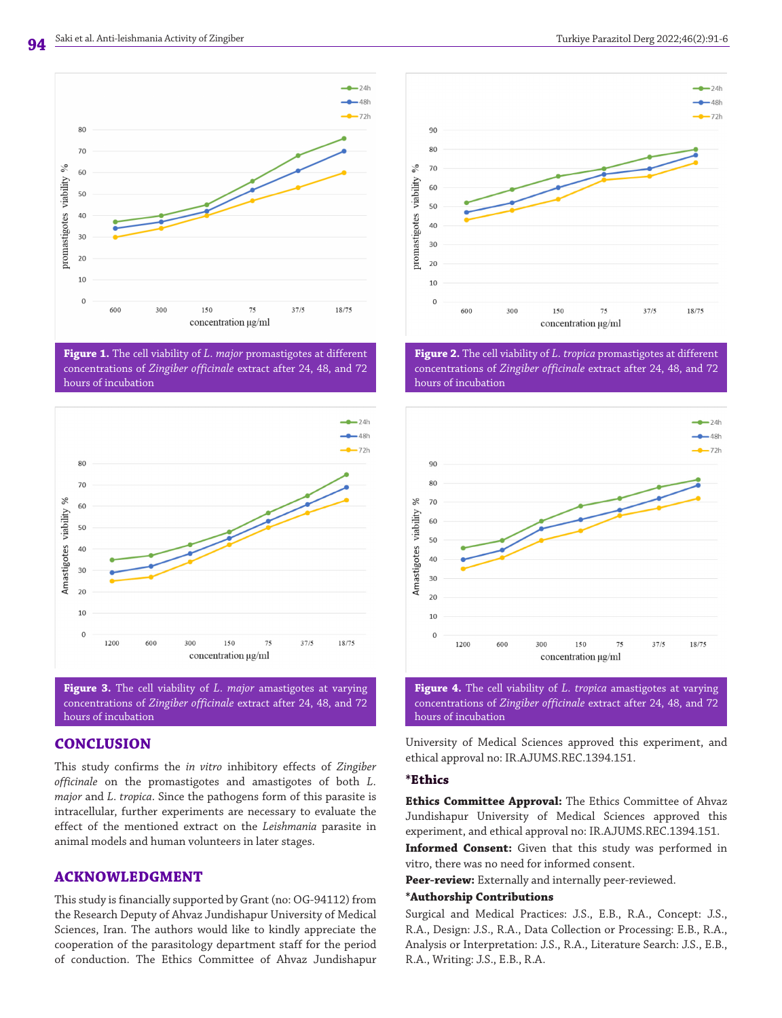

**Figure 1.** The cell viability of *L. major* promastigotes at different concentrations of *Zingiber officinale* extract after 24, 48, and 72 hours of incubation



**Figure 3.** The cell viability of *L. major* amastigotes at varying concentrations of *Zingiber officinale* extract after 24, 48, and 72 hours of incubation

# **CONCLUSION**

This study confirms the *in vitro* inhibitory effects of *Zingiber officinale* on the promastigotes and amastigotes of both *L. major* and *L. tropica*. Since the pathogens form of this parasite is intracellular, further experiments are necessary to evaluate the effect of the mentioned extract on the *Leishmania* parasite in animal models and human volunteers in later stages.

# **ACKNOWLEDGMENT**

This study is financially supported by Grant (no: OG-94112) from the Research Deputy of Ahvaz Jundishapur University of Medical Sciences, Iran. The authors would like to kindly appreciate the cooperation of the parasitology department staff for the period of conduction. The Ethics Committee of Ahvaz Jundishapur



**Figure 2.** The cell viability of *L. tropica* promastigotes at different concentrations of *Zingiber officinale* extract after 24, 48, and 72 hours of incubation



**Figure 4.** The cell viability of *L. tropica* amastigotes at varying concentrations of *Zingiber officinale* extract after 24, 48, and 72 hours of incubation

University of Medical Sciences approved this experiment, and ethical approval no: IR.AJUMS.REC.1394.151.

#### **\*Ethics**

**Ethics Committee Approval:** The Ethics Committee of Ahvaz Jundishapur University of Medical Sciences approved this experiment, and ethical approval no: IR.AJUMS.REC.1394.151.

**Informed Consent:** Given that this study was performed in vitro, there was no need for informed consent.

**Peer-review:** Externally and internally peer-reviewed.

#### **\*Authorship Contributions**

Surgical and Medical Practices: J.S., E.B., R.A., Concept: J.S., R.A., Design: J.S., R.A., Data Collection or Processing: E.B., R.A., Analysis or Interpretation: J.S., R.A., Literature Search: J.S., E.B., R.A., Writing: J.S., E.B., R.A.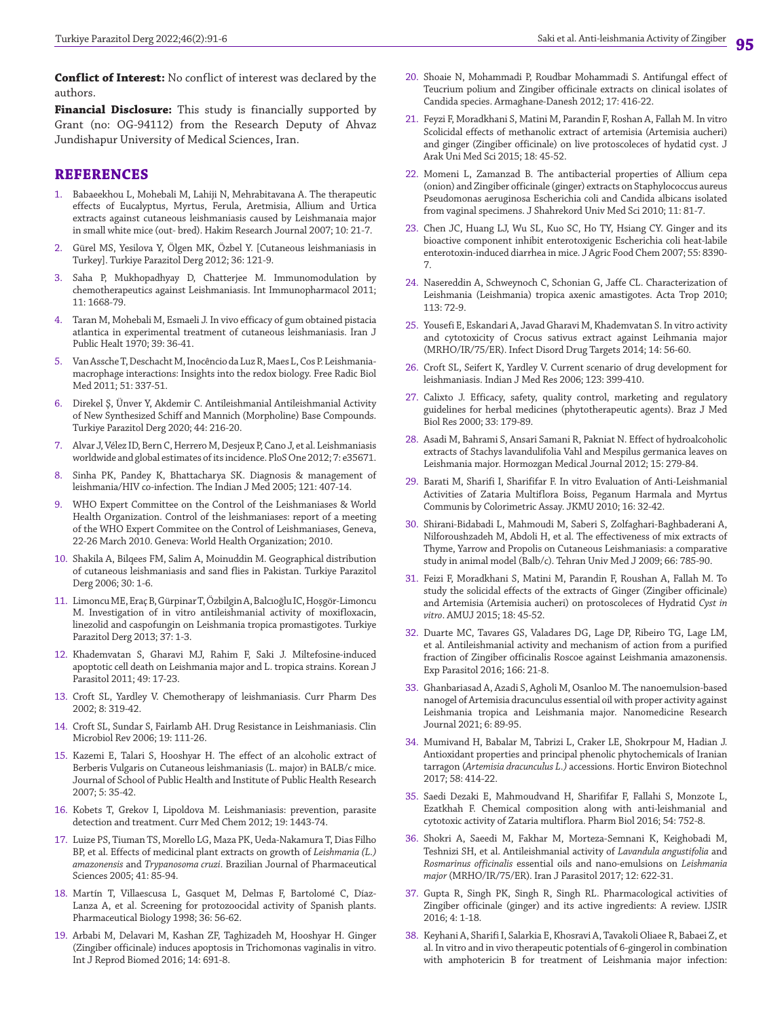**Conflict of Interest:** No conflict of interest was declared by the authors.

**Financial Disclosure:** This study is financially supported by Grant (no: OG-94112) from the Research Deputy of Ahvaz Jundishapur University of Medical Sciences, Iran.

## **REFERENCES**

- 1. Babaeekhou L, Mohebali M, Lahiji N, Mehrabitavana A. The therapeutic effects of Eucalyptus, Myrtus, Ferula, Aretmisia, Allium and Urtica extracts against cutaneous leishmaniasis caused by Leishmanaia major in small white mice (out- bred). Hakim Research Journal 2007; 10: 21-7.
- 2. Gürel MS, Yesilova Y, Ölgen MK, Özbel Y. [Cutaneous leishmaniasis in Turkey]. Turkiye Parazitol Derg 2012; 36: 121-9.
- 3. Saha P, Mukhopadhyay D, Chatterjee M. Immunomodulation by chemotherapeutics against Leishmaniasis. Int Immunopharmacol 2011; 11: 1668-79.
- 4. Taran M, Mohebali M, Esmaeli J. In vivo efficacy of gum obtained pistacia atlantica in experimental treatment of cutaneous leishmaniasis. Iran J Public Healt 1970; 39: 36-41.
- 5. Van Assche T, Deschacht M, Inocêncio da Luz R, Maes L, Cos P. Leishmaniamacrophage interactions: Insights into the redox biology. Free Radic Biol Med 2011; 51: 337-51.
- 6. Direkel Ş, Ünver Y, Akdemir C. Antileishmanial Antileishmanial Activity of New Synthesized Schiff and Mannich (Morpholine) Base Compounds. Turkiye Parazitol Derg 2020; 44: 216-20.
- 7. Alvar J, Vélez ID, Bern C, Herrero M, Desjeux P, Cano J, et al. Leishmaniasis worldwide and global estimates of its incidence. PloS One 2012; 7: e35671.
- 8. Sinha PK, Pandey K, Bhattacharya SK. Diagnosis & management of leishmania/HIV co-infection. The Indian J Med 2005; 121: 407-14.
- 9. WHO Expert Committee on the Control of the Leishmaniases & World Health Organization. Control of the leishmaniases: report of a meeting of the WHO Expert Commitee on the Control of Leishmaniases, Geneva, 22-26 March 2010. Geneva: World Health Organization; 2010.
- 10. Shakila A, Bilqees FM, Salim A, Moinuddin M. Geographical distribution of cutaneous leishmaniasis and sand flies in Pakistan. Turkiye Parazitol Derg 2006; 30: 1-6.
- 11. Limoncu ME, Eraç B, Gürpinar T, Özbilgin A, Balcıoğlu IC, Hoşgör-Limoncu M. Investigation of in vitro antileishmanial activity of moxifloxacin, linezolid and caspofungin on Leishmania tropica promastigotes. Turkiye Parazitol Derg 2013; 37: 1-3.
- 12. Khademvatan S, Gharavi MJ, Rahim F, Saki J. Miltefosine-induced apoptotic cell death on Leishmania major and L. tropica strains. Korean J Parasitol 2011; 49: 17-23.
- 13. Croft SL, Yardley V. Chemotherapy of leishmaniasis. Curr Pharm Des 2002; 8: 319-42.
- 14. Croft SL, Sundar S, Fairlamb AH. Drug Resistance in Leishmaniasis. Clin Microbiol Rev 2006; 19: 111-26.
- 15. Kazemi E, Talari S, Hooshyar H. The effect of an alcoholic extract of Berberis Vulgaris on Cutaneous leishmaniasis (L. major) in BALB/c mice. Journal of School of Public Health and Institute of Public Health Research 2007; 5: 35-42.
- 16. Kobets T, Grekov I, Lipoldova M. Leishmaniasis: prevention, parasite detection and treatment. Curr Med Chem 2012; 19: 1443-74.
- 17. Luize PS, Tiuman TS, Morello LG, Maza PK, Ueda-Nakamura T, Dias Filho BP, et al. Effects of medicinal plant extracts on growth of *Leishmania (L.) amazonensis* and *Trypanosoma cruzi*. Brazilian Journal of Pharmaceutical Sciences 2005; 41: 85-94.
- 18. Martín T, Villaescusa L, Gasquet M, Delmas F, Bartolomé C, Díaz-Lanza A, et al. Screening for protozoocidal activity of Spanish plants. Pharmaceutical Biology 1998; 36: 56-62.
- 19. Arbabi M, Delavari M, Kashan ZF, Taghizadeh M, Hooshyar H. Ginger (Zingiber officinale) induces apoptosis in Trichomonas vaginalis in vitro. Int J Reprod Biomed 2016; 14: 691-8.
- 20. Shoaie N, Mohammadi P, Roudbar Mohammadi S. Antifungal effect of Teucrium polium and Zingiber officinale extracts on clinical isolates of Candida species. Armaghane-Danesh 2012; 17: 416-22.
- 21. Feyzi F, Moradkhani S, Matini M, Parandin F, Roshan A, Fallah M. In vitro Scolicidal effects of methanolic extract of artemisia (Artemisia aucheri) and ginger (Zingiber officinale) on live protoscoleces of hydatid cyst. J Arak Uni Med Sci 2015; 18: 45-52.
- 22. Momeni L, Zamanzad B. The antibacterial properties of Allium cepa (onion) and Zingiber officinale (ginger) extracts on Staphylococcus aureus Pseudomonas aeruginosa Escherichia coli and Candida albicans isolated from vaginal specimens. J Shahrekord Univ Med Sci 2010; 11: 81-7.
- 23. Chen JC, Huang LJ, Wu SL, Kuo SC, Ho TY, Hsiang CY. Ginger and its bioactive component inhibit enterotoxigenic Escherichia coli heat-labile enterotoxin-induced diarrhea in mice. J Agric Food Chem 2007; 55: 8390- 7.
- 24. Nasereddin A, Schweynoch C, Schonian G, Jaffe CL. Characterization of Leishmania (Leishmania) tropica axenic amastigotes. Acta Trop 2010; 113: 72-9.
- 25. Yousefi E, Eskandari A, Javad Gharavi M, Khademvatan S. In vitro activity and cytotoxicity of Crocus sativus extract against Leihmania major (MRHO/IR/75/ER). Infect Disord Drug Targets 2014; 14: 56-60.
- 26. Croft SL, Seifert K, Yardley V. Current scenario of drug development for leishmaniasis. Indian J Med Res 2006; 123: 399-410.
- 27. Calixto J. Efficacy, safety, quality control, marketing and regulatory guidelines for herbal medicines (phytotherapeutic agents). Braz J Med Biol Res 2000; 33: 179-89.
- 28. Asadi M, Bahrami S, Ansari Samani R, Pakniat N. Effect of hydroalcoholic extracts of Stachys lavandulifolia Vahl and Mespilus germanica leaves on Leishmania major. Hormozgan Medical Journal 2012; 15: 279-84.
- 29. Barati M, Sharifi I, Sharififar F. In vitro Evaluation of Anti-Leishmanial Activities of Zataria Multiflora Boiss, Peganum Harmala and Myrtus Communis by Colorimetric Assay. JKMU 2010; 16: 32-42.
- 30. Shirani-Bidabadi L, Mahmoudi M, Saberi S, Zolfaghari-Baghbaderani A, Nilforoushzadeh M, Abdoli H, et al. The effectiveness of mix extracts of Thyme, Yarrow and Propolis on Cutaneous Leishmaniasis: a comparative study in animal model (Balb/c). Tehran Univ Med J 2009; 66: 785-90.
- 31. Feizi F, Moradkhani S, Matini M, Parandin F, Roushan A, Fallah M. To study the solicidal effects of the extracts of Ginger (Zingiber officinale) and Artemisia (Artemisia aucheri) on protoscoleces of Hydratid *Cyst in vitro*. AMUJ 2015; 18: 45-52.
- 32. Duarte MC, Tavares GS, Valadares DG, Lage DP, Ribeiro TG, Lage LM, et al. Antileishmanial activity and mechanism of action from a purified fraction of Zingiber officinalis Roscoe against Leishmania amazonensis. Exp Parasitol 2016; 166: 21-8.
- 33. Ghanbariasad A, Azadi S, Agholi M, Osanloo M. The nanoemulsion-based nanogel of Artemisia dracunculus essential oil with proper activity against Leishmania tropica and Leishmania major. Nanomedicine Research Journal 2021; 6: 89-95.
- 34. Mumivand H, Babalar M, Tabrizi L, Craker LE, Shokrpour M, Hadian J. Antioxidant properties and principal phenolic phytochemicals of Iranian tarragon (*Artemisia dracunculus L.)* accessions. Hortic Environ Biotechnol 2017; 58: 414-22.
- 35. Saedi Dezaki E, Mahmoudvand H, Sharififar F, Fallahi S, Monzote L, Ezatkhah F. Chemical composition along with anti-leishmanial and cytotoxic activity of Zataria multiflora. Pharm Biol 2016; 54: 752-8.
- 36. Shokri A, Saeedi M, Fakhar M, Morteza-Semnani K, Keighobadi M, Teshnizi SH, et al. Antileishmanial activity of *Lavandula angustifolia* and *Rosmarinus officinalis* essential oils and nano-emulsions on *Leishmania major* (MRHO/IR/75/ER). Iran J Parasitol 2017; 12: 622-31.
- 37. Gupta R, Singh PK, Singh R, Singh RL. Pharmacological activities of Zingiber officinale (ginger) and its active ingredients: A review. IJSIR 2016; 4: 1-18.
- 38. Keyhani A, Sharifi I, Salarkia E, Khosravi A, Tavakoli Oliaee R, Babaei Z, et al. In vitro and in vivo therapeutic potentials of 6-gingerol in combination with amphotericin B for treatment of Leishmania major infection: